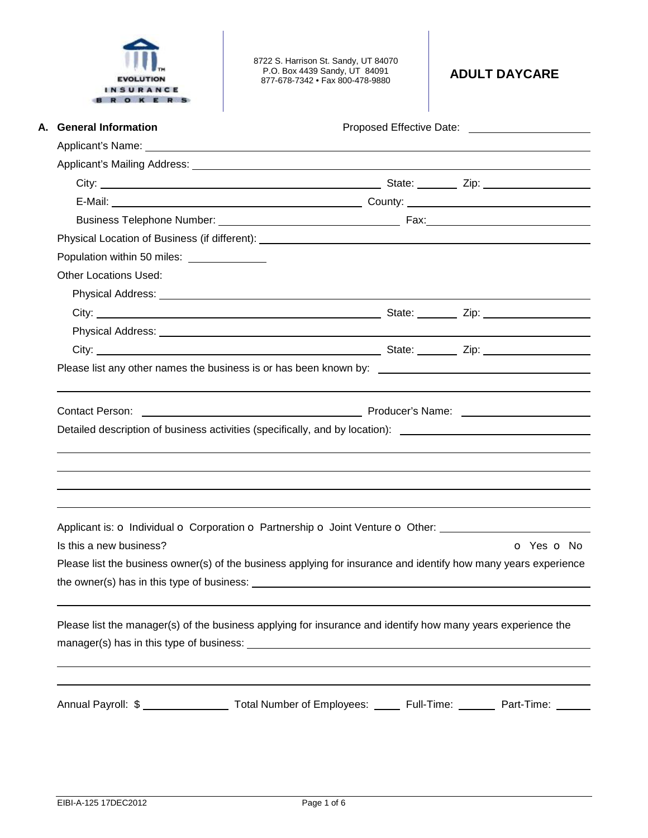|           | <b>EVOLUTION</b> |  |  |
|-----------|------------------|--|--|
| INSURANCE |                  |  |  |
|           |                  |  |  |

8722 S. Harrison St. Sandy, UT 84070 P.O. Box 4439 Sandy, UT 84091 877-678-7342 • Fax 800-478-9880 **ADULT DAYCARE** 

| A. General Information                                                                                                                                                                                               |            |
|----------------------------------------------------------------------------------------------------------------------------------------------------------------------------------------------------------------------|------------|
|                                                                                                                                                                                                                      |            |
|                                                                                                                                                                                                                      |            |
|                                                                                                                                                                                                                      |            |
|                                                                                                                                                                                                                      |            |
|                                                                                                                                                                                                                      |            |
|                                                                                                                                                                                                                      |            |
| Population within 50 miles:                                                                                                                                                                                          |            |
| <b>Other Locations Used:</b>                                                                                                                                                                                         |            |
| Physical Address: <u>Physical Address:</u>                                                                                                                                                                           |            |
|                                                                                                                                                                                                                      |            |
|                                                                                                                                                                                                                      |            |
|                                                                                                                                                                                                                      |            |
|                                                                                                                                                                                                                      |            |
| <b>Contact Person:</b>                                                                                                                                                                                               |            |
|                                                                                                                                                                                                                      |            |
|                                                                                                                                                                                                                      |            |
| Detailed description of business activities (specifically, and by location): ________________________________                                                                                                        |            |
|                                                                                                                                                                                                                      |            |
|                                                                                                                                                                                                                      |            |
|                                                                                                                                                                                                                      |            |
|                                                                                                                                                                                                                      |            |
|                                                                                                                                                                                                                      |            |
| Is this a new business?                                                                                                                                                                                              |            |
|                                                                                                                                                                                                                      |            |
| Please list the business owner(s) of the business applying for insurance and identify how many years experience                                                                                                      |            |
|                                                                                                                                                                                                                      |            |
|                                                                                                                                                                                                                      |            |
| Applicant is: O Individual O Corporation O Partnership O Joint Venture O Other: ____________________<br>Please list the manager(s) of the business applying for insurance and identify how many years experience the |            |
|                                                                                                                                                                                                                      |            |
|                                                                                                                                                                                                                      |            |
| Annual Payroll: \$ ____________________ Total Number of Employees: ______ Full-Time: ________ Part-Time: ______                                                                                                      | O Yes O No |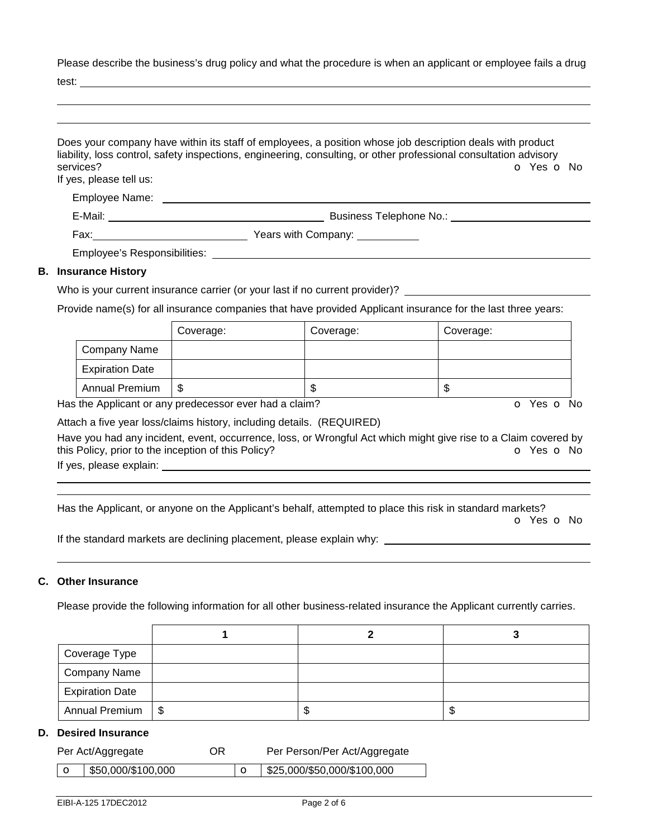Please describe the business's drug policy and what the procedure is when an applicant or employee fails a drug

test:

| services?<br>If yes, please tell us: | Does your company have within its staff of employees, a position whose job description deals with product<br>liability, loss control, safety inspections, engineering, consulting, or other professional consultation advisory<br>O Yes O No |
|--------------------------------------|----------------------------------------------------------------------------------------------------------------------------------------------------------------------------------------------------------------------------------------------|
|                                      |                                                                                                                                                                                                                                              |
| Employee Name:                       |                                                                                                                                                                                                                                              |
|                                      | Business Telephone No.: Note that the set of the set of the set of the set of the set of the set of the set of the set of the set of the set of the set of the set of the set of the set of the set of the set of the set of t               |
|                                      |                                                                                                                                                                                                                                              |
|                                      |                                                                                                                                                                                                                                              |
| <b>B.</b> Insurance History          |                                                                                                                                                                                                                                              |
|                                      | Who is your surrent insurance carrier (or your lost if no surrent provider)?                                                                                                                                                                 |

## Who is your current insurance carrier (or your last if no current provider)?

Provide name(s) for all insurance companies that have provided Applicant insurance for the last three years:

|                        | Coverage: | Coverage: | Coverage: |
|------------------------|-----------|-----------|-----------|
| Company Name           |           |           |           |
| <b>Expiration Date</b> |           |           |           |
| <b>Annual Premium</b>  | S         | œ<br>۰D   | D         |

Has the Applicant or any predecessor ever had a claim? The Contract of Monocomusic Contract of No. The Contract O

Attach a five year loss/claims history, including details. (REQUIRED)

Have you had any incident, event, occurrence, loss, or Wrongful Act which might give rise to a Claim covered by this Policy, prior to the inception of this Policy? **o Yes o No** Yes **o** No

If yes, please explain:

 

Has the Applicant, or anyone on the Applicant's behalf, attempted to place this risk in standard markets?

o Yes o No

If the standard markets are declining placement, please explain why:

## **C. Other Insurance**

Please provide the following information for all other business-related insurance the Applicant currently carries.

| Coverage Type          |      |    |
|------------------------|------|----|
| <b>Company Name</b>    |      |    |
| <b>Expiration Date</b> |      |    |
| Annual Premium   \$    | - 11 | ۰D |

## **D. Desired Insurance**

| Per Act/Aggregate |                                  | OR. | Per Person/Per Act/Aggregate              |
|-------------------|----------------------------------|-----|-------------------------------------------|
|                   | $\frac{1}{2}$ \$50,000/\$100,000 |     | $\frac{1}{2}$ \$25,000/\$50,000/\$100,000 |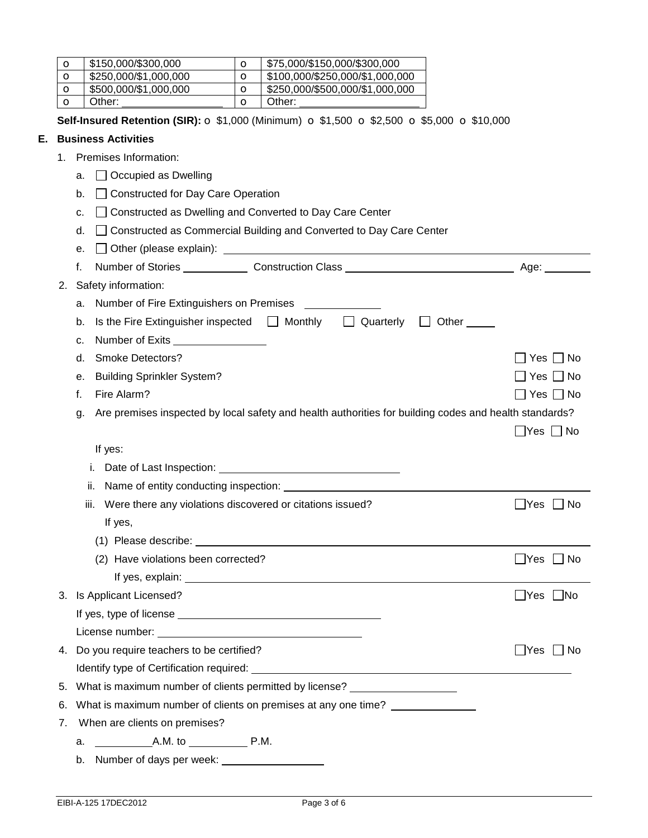|    | $\circ$                                                                                                      | \$150,000/\$300,000                                               | $\circ$            | \$75,000/\$150,000/\$300,000                                                                         |                      |
|----|--------------------------------------------------------------------------------------------------------------|-------------------------------------------------------------------|--------------------|------------------------------------------------------------------------------------------------------|----------------------|
|    | $\circ$                                                                                                      | \$250,000/\$1,000,000                                             | $\circ$            | \$100,000/\$250,000/\$1,000,000                                                                      |                      |
|    | $\mathbf o$<br>O                                                                                             | \$500,000/\$1,000,000<br>Other:                                   | $\circ$<br>$\circ$ | \$250,000/\$500,000/\$1,000,000<br>Other:                                                            |                      |
|    |                                                                                                              |                                                                   |                    |                                                                                                      |                      |
|    |                                                                                                              |                                                                   |                    | Self-Insured Retention (SIR): ○ \$1,000 (Minimum) ○ \$1,500 ○ \$2,500 ○ \$5,000 ○ \$10,000           |                      |
| Е. |                                                                                                              | <b>Business Activities</b>                                        |                    |                                                                                                      |                      |
|    |                                                                                                              | 1. Premises Information:                                          |                    |                                                                                                      |                      |
|    |                                                                                                              | Occupied as Dwelling<br>a.                                        |                    |                                                                                                      |                      |
|    |                                                                                                              | <b>Constructed for Day Care Operation</b><br>b.                   |                    |                                                                                                      |                      |
|    |                                                                                                              | c.                                                                |                    | Constructed as Dwelling and Converted to Day Care Center                                             |                      |
|    |                                                                                                              | d.                                                                |                    | Constructed as Commercial Building and Converted to Day Care Center                                  |                      |
|    |                                                                                                              | е.                                                                |                    |                                                                                                      |                      |
|    |                                                                                                              | f.                                                                |                    |                                                                                                      |                      |
|    | 2.                                                                                                           | Safety information:                                               |                    |                                                                                                      |                      |
|    |                                                                                                              | a. Number of Fire Extinguishers on Premises                       |                    |                                                                                                      |                      |
|    |                                                                                                              | b.                                                                |                    | Is the Fire Extinguisher inspected $\Box$ Monthly $\Box$ Quarterly<br>$\Box$ Other $\_\_\_\_\_\_\_\$ |                      |
|    |                                                                                                              | Number of Exits _________________<br>c.                           |                    |                                                                                                      |                      |
|    |                                                                                                              | <b>Smoke Detectors?</b><br>d.                                     |                    |                                                                                                      | Yes $\Box$ No        |
|    |                                                                                                              | <b>Building Sprinkler System?</b><br>е.                           |                    |                                                                                                      |                      |
|    |                                                                                                              | Fire Alarm?<br>f.                                                 |                    |                                                                                                      | Yes $\Box$ No        |
|    | Are premises inspected by local safety and health authorities for building codes and health standards?<br>g. |                                                                   |                    |                                                                                                      |                      |
|    |                                                                                                              |                                                                   |                    |                                                                                                      | _ Yes   _  No        |
|    |                                                                                                              | If yes:                                                           |                    |                                                                                                      |                      |
|    |                                                                                                              | i.                                                                |                    |                                                                                                      |                      |
|    |                                                                                                              | ii.                                                               |                    | Name of entity conducting inspection: Name of entity conducting inspection:                          |                      |
|    |                                                                                                              | Were there any violations discovered or citations issued?<br>iii. |                    |                                                                                                      | No<br>- IYes         |
|    |                                                                                                              | If yes,                                                           |                    |                                                                                                      |                      |
|    |                                                                                                              |                                                                   |                    |                                                                                                      |                      |
|    |                                                                                                              | (2) Have violations been corrected?                               |                    |                                                                                                      | $\Box$ Yes $\Box$ No |
|    |                                                                                                              |                                                                   |                    |                                                                                                      |                      |
|    |                                                                                                              | 3. Is Applicant Licensed?                                         |                    |                                                                                                      | $\Box$ Yes $\Box$ No |
|    |                                                                                                              |                                                                   |                    |                                                                                                      |                      |
|    |                                                                                                              |                                                                   |                    |                                                                                                      |                      |
|    |                                                                                                              | 4. Do you require teachers to be certified?                       |                    |                                                                                                      | $\Box$ Yes $\Box$ No |
|    |                                                                                                              |                                                                   |                    |                                                                                                      |                      |
|    | 5.                                                                                                           |                                                                   |                    | What is maximum number of clients permitted by license? ________________________                     |                      |
|    | 6.                                                                                                           |                                                                   |                    | What is maximum number of clients on premises at any one time?                                       |                      |
|    | 7.                                                                                                           | When are clients on premises?                                     |                    |                                                                                                      |                      |
|    |                                                                                                              |                                                                   |                    |                                                                                                      |                      |
|    |                                                                                                              | b. Number of days per week: ____________________                  |                    |                                                                                                      |                      |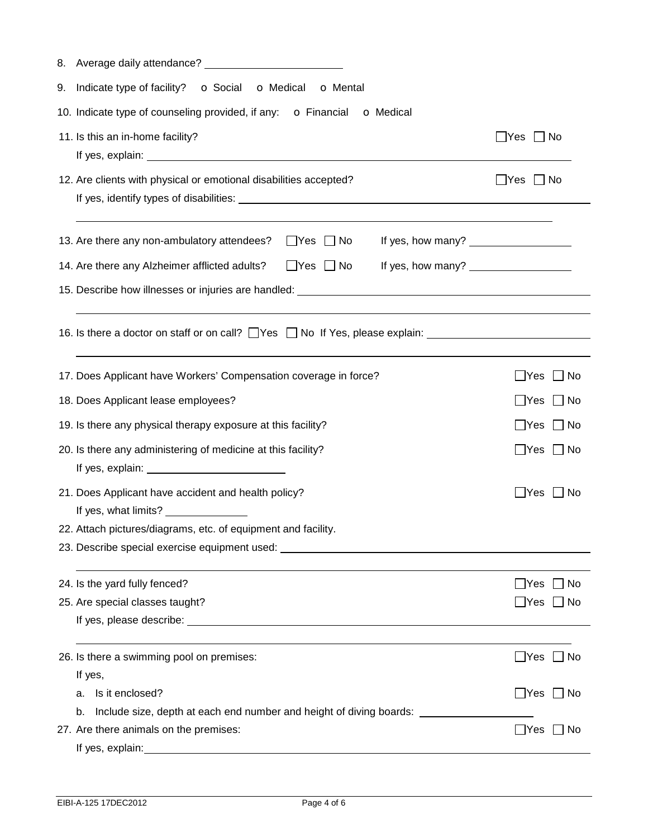| 9. Indicate type of facility? o Social o Medical<br><b>o</b> Mental                                      |                            |
|----------------------------------------------------------------------------------------------------------|----------------------------|
| 10. Indicate type of counseling provided, if any: o Financial o Medical                                  |                            |
| 11. Is this an in-home facility?                                                                         | $\Box$ Yes $\Box$ No       |
| 12. Are clients with physical or emotional disabilities accepted?                                        | $\Box$ Yes $\Box$ No       |
| 13. Are there any non-ambulatory attendees?<br>$\Box$ Yes $\Box$ No                                      |                            |
| $\Box$ Yes $\Box$ No<br>If yes, how many? $\sqrt{2\pi}$<br>14. Are there any Alzheimer afflicted adults? |                            |
|                                                                                                          |                            |
|                                                                                                          |                            |
| 16. Is there a doctor on staff or on call? $\Box$ Yes $\Box$ No If Yes, please explain: $\Box$           |                            |
| 17. Does Applicant have Workers' Compensation coverage in force?                                         | $\Box$ Yes<br>$\Box$ No    |
| 18. Does Applicant lease employees?                                                                      | $\Box$ Yes $\Box$ No       |
| 19. Is there any physical therapy exposure at this facility?                                             | $\Box$ No<br>$\Box$ Yes    |
| 20. Is there any administering of medicine at this facility?                                             | $\Box$ Yes<br>$\Box$ No    |
| 21. Does Applicant have accident and health policy?<br>If yes, what limits? _______________              | $\mathsf{\_}$ Yes<br>l INo |
| 22. Attach pictures/diagrams, etc. of equipment and facility.                                            |                            |
| 23. Describe special exercise equipment used: __________________________________                         |                            |
|                                                                                                          |                            |
| 24. Is the yard fully fenced?                                                                            | No<br>$\sqcup$ Yes         |
| 25. Are special classes taught?                                                                          | _ Yes   _  No              |
|                                                                                                          |                            |
| 26. Is there a swimming pool on premises:                                                                | $\Box$ Yes<br>$\Box$ No    |
| If yes,                                                                                                  |                            |
| Is it enclosed?<br>a.                                                                                    | $\Box$ Yes $\Box$ No       |
| Include size, depth at each end number and height of diving boards: ____________<br>b.                   |                            |
| 27. Are there animals on the premises:                                                                   | _lYes<br>_  No             |
| If yes, explain:                                                                                         |                            |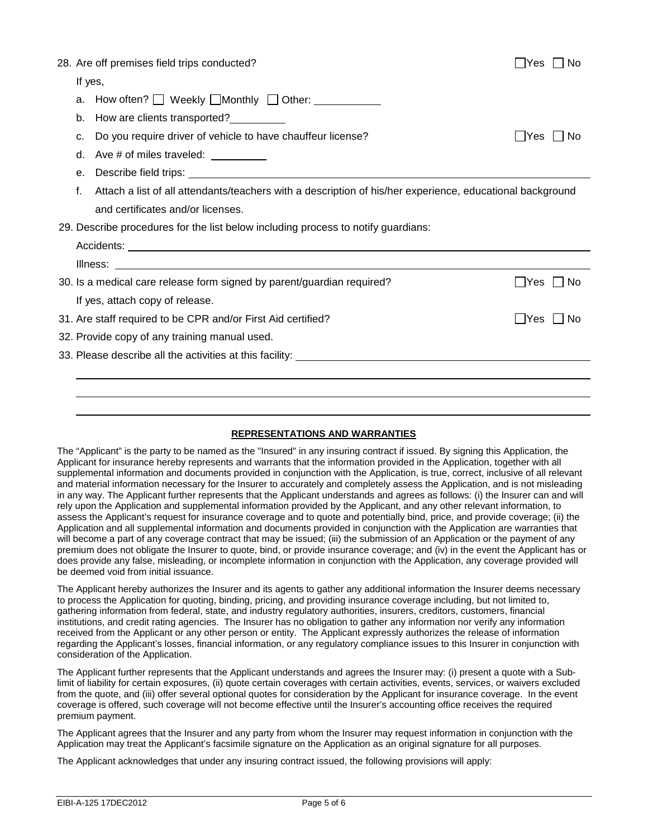|                                               | 28. Are off premises field trips conducted?                                                               | IYes<br>Nο       |  |  |  |
|-----------------------------------------------|-----------------------------------------------------------------------------------------------------------|------------------|--|--|--|
| If yes,                                       |                                                                                                           |                  |  |  |  |
| a.                                            |                                                                                                           |                  |  |  |  |
| b.                                            | How are clients transported?                                                                              |                  |  |  |  |
| C.                                            | Do you require driver of vehicle to have chauffeur license?                                               | Yes     No       |  |  |  |
| d.                                            | Ave # of miles traveled: __________                                                                       |                  |  |  |  |
|                                               |                                                                                                           |                  |  |  |  |
| f.                                            | Attach a list of all attendants/teachers with a description of his/her experience, educational background |                  |  |  |  |
|                                               | and certificates and/or licenses.                                                                         |                  |  |  |  |
|                                               | 29. Describe procedures for the list below including process to notify guardians:                         |                  |  |  |  |
|                                               |                                                                                                           |                  |  |  |  |
|                                               |                                                                                                           |                  |  |  |  |
|                                               | 30. Is a medical care release form signed by parent/guardian required?                                    | - IYes<br>– I No |  |  |  |
|                                               | If yes, attach copy of release.                                                                           |                  |  |  |  |
|                                               | 31. Are staff required to be CPR and/or First Aid certified?                                              | l lYes I INo     |  |  |  |
| 32. Provide copy of any training manual used. |                                                                                                           |                  |  |  |  |
|                                               |                                                                                                           |                  |  |  |  |
|                                               |                                                                                                           |                  |  |  |  |
|                                               |                                                                                                           |                  |  |  |  |
|                                               |                                                                                                           |                  |  |  |  |

## **REPRESENTATIONS AND WARRANTIES**

The "Applicant" is the party to be named as the "Insured" in any insuring contract if issued. By signing this Application, the Applicant for insurance hereby represents and warrants that the information provided in the Application, together with all supplemental information and documents provided in conjunction with the Application, is true, correct, inclusive of all relevant and material information necessary for the Insurer to accurately and completely assess the Application, and is not misleading in any way. The Applicant further represents that the Applicant understands and agrees as follows: (i) the Insurer can and will rely upon the Application and supplemental information provided by the Applicant, and any other relevant information, to assess the Applicant's request for insurance coverage and to quote and potentially bind, price, and provide coverage; (ii) the Application and all supplemental information and documents provided in conjunction with the Application are warranties that will become a part of any coverage contract that may be issued; (iii) the submission of an Application or the payment of any premium does not obligate the Insurer to quote, bind, or provide insurance coverage; and (iv) in the event the Applicant has or does provide any false, misleading, or incomplete information in conjunction with the Application, any coverage provided will be deemed void from initial issuance.

The Applicant hereby authorizes the Insurer and its agents to gather any additional information the Insurer deems necessary to process the Application for quoting, binding, pricing, and providing insurance coverage including, but not limited to, gathering information from federal, state, and industry regulatory authorities, insurers, creditors, customers, financial institutions, and credit rating agencies. The Insurer has no obligation to gather any information nor verify any information received from the Applicant or any other person or entity. The Applicant expressly authorizes the release of information regarding the Applicant's losses, financial information, or any regulatory compliance issues to this Insurer in conjunction with consideration of the Application.

The Applicant further represents that the Applicant understands and agrees the Insurer may: (i) present a quote with a Sublimit of liability for certain exposures, (ii) quote certain coverages with certain activities, events, services, or waivers excluded from the quote, and (iii) offer several optional quotes for consideration by the Applicant for insurance coverage. In the event coverage is offered, such coverage will not become effective until the Insurer's accounting office receives the required premium payment.

The Applicant agrees that the Insurer and any party from whom the Insurer may request information in conjunction with the Application may treat the Applicant's facsimile signature on the Application as an original signature for all purposes.

The Applicant acknowledges that under any insuring contract issued, the following provisions will apply: